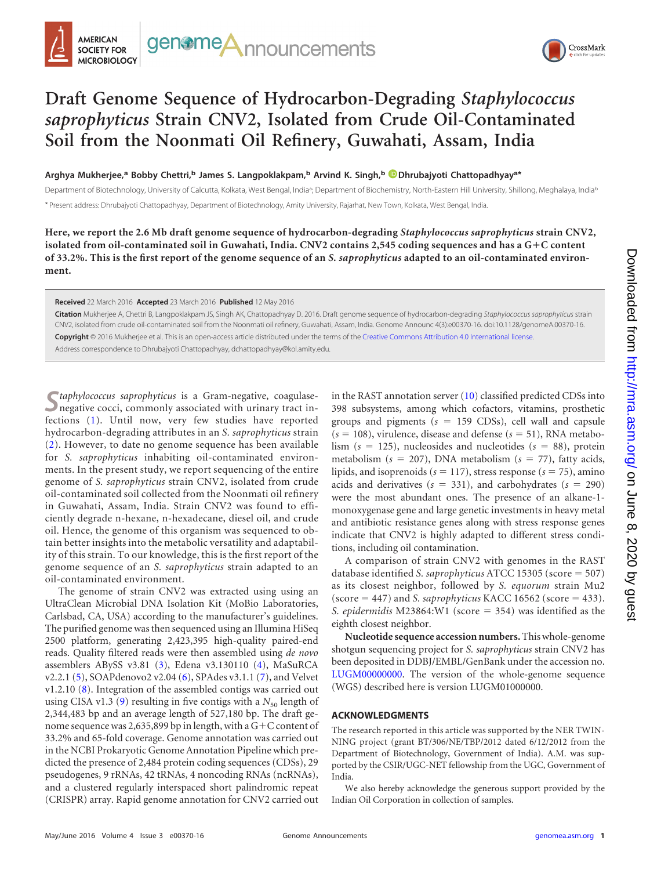



# **Draft Genome Sequence of Hydrocarbon-Degrading** *Staphylococcus saprophyticus* **Strain CNV2, Isolated from Crude Oil-Contaminated Soil from the Noonmati Oil Refinery, Guwahati, Assam, India**

**Arghya Mukherjee,<sup>a</sup> Bobby Chettri,<sup>b</sup> James S. Langpoklakpam,<sup>b</sup> Arvind K. Singh,<sup>b</sup> Dhrubajyoti Chattopadhyaya\***

Department of Biotechnology, University of Calcutta, Kolkata, West Bengal, India<sup>a</sup>; Department of Biochemistry, North-Eastern Hill University, Shillong, Meghalaya, India<sup>b</sup> \* Present address: Dhrubajyoti Chattopadhyay, Department of Biotechnology, Amity University, Rajarhat, New Town, Kolkata, West Bengal, India.

**Here, we report the 2.6 Mb draft genome sequence of hydrocarbon-degrading** *Staphylococcus saprophyticus* **strain CNV2, isolated from oil-contaminated soil in Guwahati, India. CNV2 contains 2,545 coding sequences and has a G**-**C content of 33.2%. This is the first report of the genome sequence of an** *S. saprophyticus* **adapted to an oil-contaminated environment.**

#### **Received** 22 March 2016 **Accepted** 23 March 2016 **Published** 12 May 2016

**Citation** Mukherjee A, Chettri B, Langpoklakpam JS, Singh AK, Chattopadhyay D. 2016. Draft genome sequence of hydrocarbon-degrading *Staphylococcus saprophyticus* strain CNV2, isolated from crude oil-contaminated soil from the Noonmati oil refinery, Guwahati, Assam, India. Genome Announc 4(3):e00370-16. doi:10.1128/genomeA.00370-16. **Copyright** © 2016 Mukherjee et al. This is an open-access article distributed under the terms of the Creative Commons Attribution 4.0 International license. Address correspondence to Dhrubajyoti Chattopadhyay, dchattopadhyay@kol.amity.edu.

**S***taphylococcus saprophyticus* is a Gram-negative, coagulasenegative cocci, commonly associated with urinary tract infections [\(1\)](#page-1-0). Until now, very few studies have reported hydrocarbon-degrading attributes in an *S. saprophyticus* strain [\(2\)](#page-1-1). However, to date no genome sequence has been available for *S. saprophyticus* inhabiting oil-contaminated environments. In the present study, we report sequencing of the entire genome of *S. saprophyticus* strain CNV2, isolated from crude oil-contaminated soil collected from the Noonmati oil refinery in Guwahati, Assam, India. Strain CNV2 was found to efficiently degrade n-hexane, n-hexadecane, diesel oil, and crude oil. Hence, the genome of this organism was sequenced to obtain better insights into the metabolic versatility and adaptability of this strain. To our knowledge, this is the first report of the genome sequence of an *S. saprophyticus* strain adapted to an oil-contaminated environment.

The genome of strain CNV2 was extracted using using an UltraClean Microbial DNA Isolation Kit (MoBio Laboratories, Carlsbad, CA, USA) according to the manufacturer's guidelines. The purified genome was then sequenced using an Illumina HiSeq 2500 platform, generating 2,423,395 high-quality paired-end reads. Quality filtered reads were then assembled using *de novo* assemblers ABySS v3.81 [\(3\)](#page-1-2), Edena v3.130110 [\(4\)](#page-1-3), MaSuRCA v2.2.1 [\(5\)](#page-1-4), SOAPdenovo2 v2.04 [\(6\)](#page-1-5), SPAdes v3.1.1 [\(7\)](#page-1-6), and Velvet v1.2.10 [\(8\)](#page-1-7). Integration of the assembled contigs was carried out using CISA v1.3 [\(9\)](#page-1-8) resulting in five contigs with a  $N_{50}$  length of 2,344,483 bp and an average length of 527,180 bp. The draft genome sequence was 2,635,899 bp in length, with a G+C content of 33.2% and 65-fold coverage. Genome annotation was carried out in the NCBI Prokaryotic Genome Annotation Pipeline which predicted the presence of 2,484 protein coding sequences (CDSs), 29 pseudogenes, 9 rRNAs, 42 tRNAs, 4 noncoding RNAs (ncRNAs), and a clustered regularly interspaced short palindromic repeat (CRISPR) array. Rapid genome annotation for CNV2 carried out in the RAST annotation server [\(10\)](#page-1-9) classified predicted CDSs into 398 subsystems, among which cofactors, vitamins, prosthetic groups and pigments (*s* 159 CDSs), cell wall and capsule  $(s = 108)$ , virulence, disease and defense  $(s = 51)$ , RNA metabolism  $(s = 125)$ , nucleosides and nucleotides  $(s = 88)$ , protein metabolism ( $s = 207$ ), DNA metabolism ( $s = 77$ ), fatty acids, lipids, and isoprenoids ( $s = 117$ ), stress response ( $s = 75$ ), amino acids and derivatives  $(s = 331)$ , and carbohydrates  $(s = 290)$ were the most abundant ones. The presence of an alkane-1 monoxygenase gene and large genetic investments in heavy metal and antibiotic resistance genes along with stress response genes indicate that CNV2 is highly adapted to different stress conditions, including oil contamination.

A comparison of strain CNV2 with genomes in the RAST database identified *S. saprophyticus* ATCC 15305 (score = 507) as its closest neighbor, followed by *S. equorum* strain Mu2  $(score = 447)$  and *S. saprophyticus* KACC 16562 (score  $= 433$ ). *S. epidermidis* M23864:W1 (score = 354) was identified as the eighth closest neighbor.

**Nucleotide sequence accession numbers.**This whole-genome shotgun sequencing project for *S. saprophyticus* strain CNV2 has been deposited in DDBJ/EMBL/GenBank under the accession no. LUGM00000000. The version of the whole-genome sequence (WGS) described here is version LUGM01000000.

### **ACKNOWLEDGMENTS**

The research reported in this article was supported by the NER TWIN-NING project (grant BT/306/NE/TBP/2012 dated 6/12/2012 from the Department of Biotechnology, Government of India). A.M. was supported by the CSIR/UGC-NET fellowship from the UGC, Government of India.

We also hereby acknowledge the generous support provided by the Indian Oil Corporation in collection of samples.